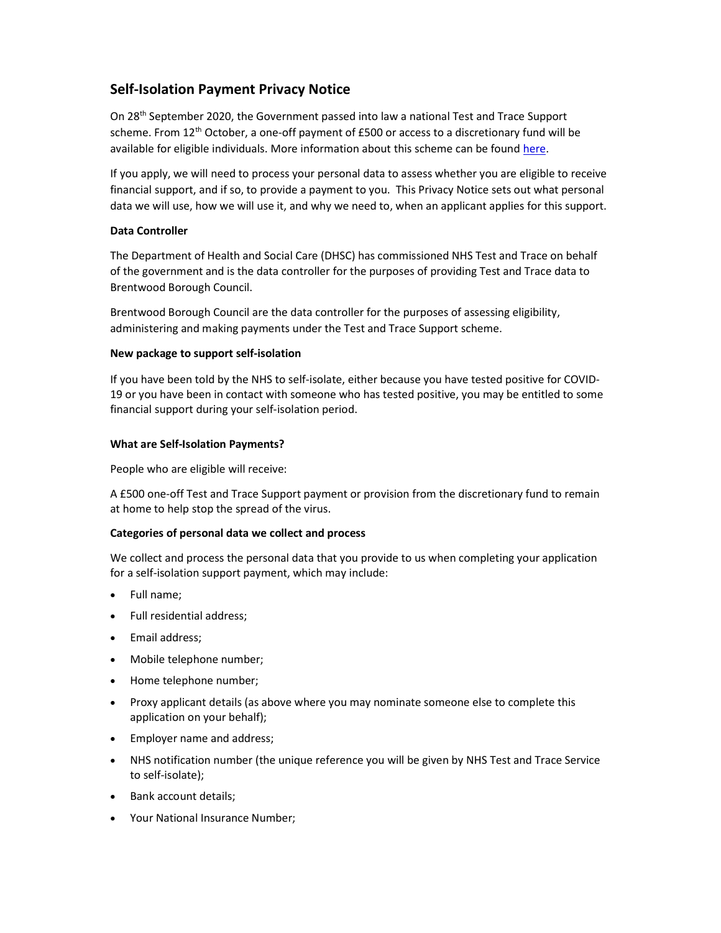# Self-Isolation Payment Privacy Notice

On  $28<sup>th</sup>$  September 2020, the Government passed into law a national Test and Trace Support scheme. From  $12<sup>th</sup>$  October, a one-off payment of £500 or access to a discretionary fund will be available for eligible individuals. More information about this scheme can be found here.

If you apply, we will need to process your personal data to assess whether you are eligible to receive financial support, and if so, to provide a payment to you. This Privacy Notice sets out what personal data we will use, how we will use it, and why we need to, when an applicant applies for this support.

## Data Controller

The Department of Health and Social Care (DHSC) has commissioned NHS Test and Trace on behalf of the government and is the data controller for the purposes of providing Test and Trace data to Brentwood Borough Council.

Brentwood Borough Council are the data controller for the purposes of assessing eligibility, administering and making payments under the Test and Trace Support scheme.

## New package to support self-isolation

If you have been told by the NHS to self-isolate, either because you have tested positive for COVID-19 or you have been in contact with someone who has tested positive, you may be entitled to some financial support during your self-isolation period.

## What are Self-Isolation Payments?

People who are eligible will receive:

A £500 one-off Test and Trace Support payment or provision from the discretionary fund to remain at home to help stop the spread of the virus.

## Categories of personal data we collect and process

We collect and process the personal data that you provide to us when completing your application for a self-isolation support payment, which may include:

- Full name;
- Full residential address;
- Email address:
- Mobile telephone number;
- Home telephone number;
- Proxy applicant details (as above where you may nominate someone else to complete this application on your behalf);
- Employer name and address;
- NHS notification number (the unique reference you will be given by NHS Test and Trace Service to self-isolate);
- Bank account details;
- Your National Insurance Number;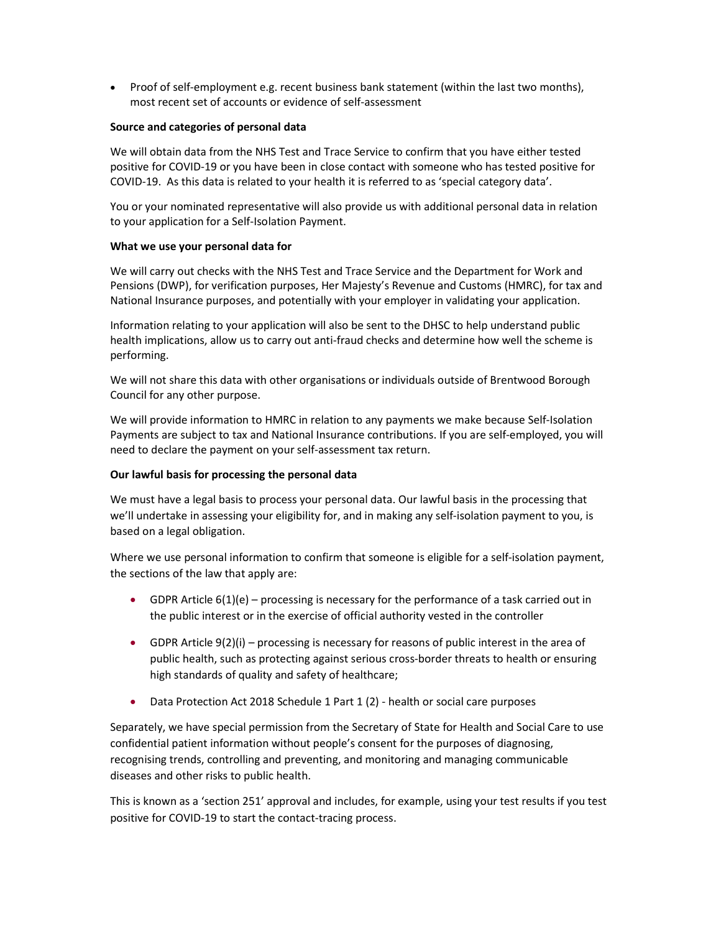Proof of self-employment e.g. recent business bank statement (within the last two months), most recent set of accounts or evidence of self-assessment

## Source and categories of personal data

We will obtain data from the NHS Test and Trace Service to confirm that you have either tested positive for COVID-19 or you have been in close contact with someone who has tested positive for COVID-19. As this data is related to your health it is referred to as 'special category data'.

You or your nominated representative will also provide us with additional personal data in relation to your application for a Self-Isolation Payment.

#### What we use your personal data for

We will carry out checks with the NHS Test and Trace Service and the Department for Work and Pensions (DWP), for verification purposes, Her Majesty's Revenue and Customs (HMRC), for tax and National Insurance purposes, and potentially with your employer in validating your application.

Information relating to your application will also be sent to the DHSC to help understand public health implications, allow us to carry out anti-fraud checks and determine how well the scheme is performing.

We will not share this data with other organisations or individuals outside of Brentwood Borough Council for any other purpose.

We will provide information to HMRC in relation to any payments we make because Self-Isolation Payments are subject to tax and National Insurance contributions. If you are self-employed, you will need to declare the payment on your self-assessment tax return.

## Our lawful basis for processing the personal data

We must have a legal basis to process your personal data. Our lawful basis in the processing that we'll undertake in assessing your eligibility for, and in making any self-isolation payment to you, is based on a legal obligation.

Where we use personal information to confirm that someone is eligible for a self-isolation payment, the sections of the law that apply are:

- GDPR Article  $6(1)(e)$  processing is necessary for the performance of a task carried out in the public interest or in the exercise of official authority vested in the controller
- GDPR Article  $9(2)(i)$  processing is necessary for reasons of public interest in the area of public health, such as protecting against serious cross-border threats to health or ensuring high standards of quality and safety of healthcare;
- Data Protection Act 2018 Schedule 1 Part 1 (2) health or social care purposes

Separately, we have special permission from the Secretary of State for Health and Social Care to use confidential patient information without people's consent for the purposes of diagnosing, recognising trends, controlling and preventing, and monitoring and managing communicable diseases and other risks to public health.

This is known as a 'section 251' approval and includes, for example, using your test results if you test positive for COVID-19 to start the contact-tracing process.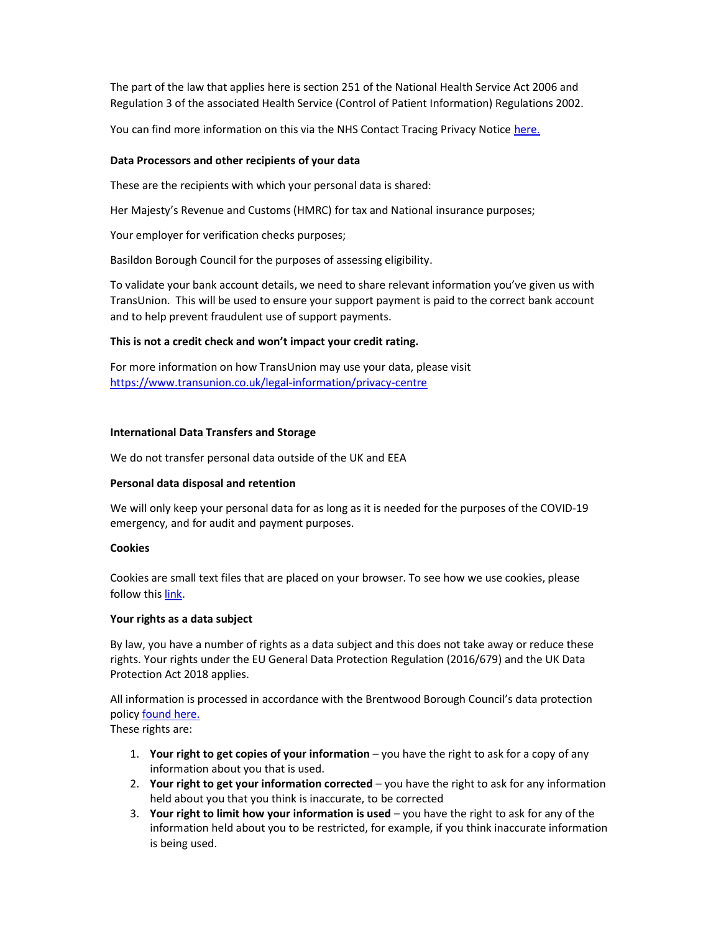The part of the law that applies here is section 251 of the National Health Service Act 2006 and Regulation 3 of the associated Health Service (Control of Patient Information) Regulations 2002.

You can find more information on this via the NHS Contact Tracing Privacy Notice here.

## Data Processors and other recipients of your data

These are the recipients with which your personal data is shared:

Her Majesty's Revenue and Customs (HMRC) for tax and National insurance purposes;

Your employer for verification checks purposes;

Basildon Borough Council for the purposes of assessing eligibility.

To validate your bank account details, we need to share relevant information you've given us with TransUnion. This will be used to ensure your support payment is paid to the correct bank account and to help prevent fraudulent use of support payments.

## This is not a credit check and won't impact your credit rating.

For more information on how TransUnion may use your data, please visit https://www.transunion.co.uk/legal-information/privacy-centre

## International Data Transfers and Storage

We do not transfer personal data outside of the UK and EEA

## Personal data disposal and retention

We will only keep your personal data for as long as it is needed for the purposes of the COVID-19 emergency, and for audit and payment purposes.

## **Cookies**

Cookies are small text files that are placed on your browser. To see how we use cookies, please follow this link.

## Your rights as a data subject

By law, you have a number of rights as a data subject and this does not take away or reduce these rights. Your rights under the EU General Data Protection Regulation (2016/679) and the UK Data Protection Act 2018 applies.

All information is processed in accordance with the Brentwood Borough Council's data protection policy found here.

These rights are:

- 1. Your right to get copies of your information  $-$  you have the right to ask for a copy of any information about you that is used.
- 2. Your right to get your information corrected  $-$  you have the right to ask for any information held about you that you think is inaccurate, to be corrected
- 3. Your right to limit how your information is used  $-$  you have the right to ask for any of the information held about you to be restricted, for example, if you think inaccurate information is being used.